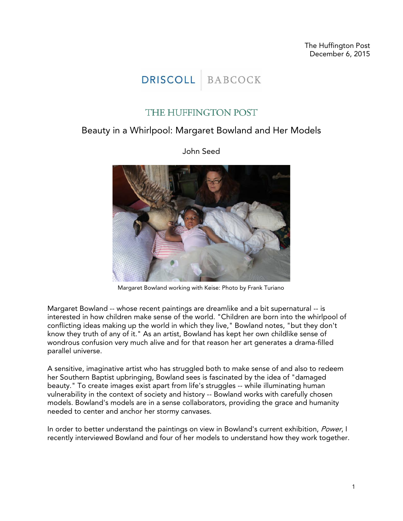#### **DRISCOLL** BABCOCK

# THE HUFFINGTON POST

## Beauty in a Whirlpool: Margaret Bowland and Her Models

John Seed

Margaret Bowland working with Keise: Photo by Frank Turiano

Margaret Bowland -- whose recent paintings are dreamlike and a bit supernatural -- is interested in how children make sense of the world. "Children are born into the whirlpool of conflicting ideas making up the world in which they live," Bowland notes, "but they don't know they truth of any of it." As an artist, Bowland has kept her own childlike sense of wondrous confusion very much alive and for that reason her art generates a drama-filled parallel universe.

A sensitive, imaginative artist who has struggled both to make sense of and also to redeem her Southern Baptist upbringing, Bowland sees is fascinated by the idea of "damaged beauty." To create images exist apart from life's struggles -- while illuminating human vulnerability in the context of society and history -- Bowland works with carefully chosen models. Bowland's models are in a sense collaborators, providing the grace and humanity needed to center and anchor her stormy canvases.

In order to better understand the paintings on view in Bowland's current exhibition, Power, I recently interviewed Bowland and four of her models to understand how they work together.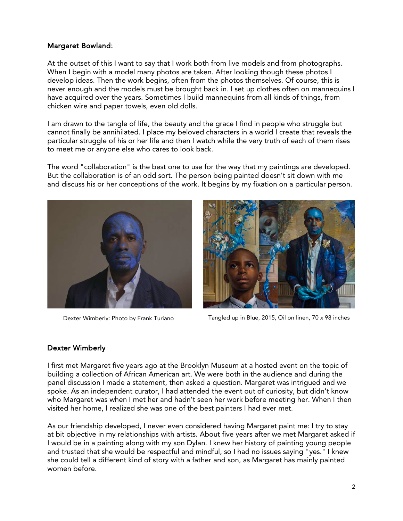## Margaret Bowland:

At the outset of this I want to say that I work both from live models and from photographs. When I begin with a model many photos are taken. After looking though these photos I develop ideas. Then the work begins, often from the photos themselves. Of course, this is never enough and the models must be brought back in. I set up clothes often on mannequins I have acquired over the years. Sometimes I build mannequins from all kinds of things, from chicken wire and paper towels, even old dolls.

I am drawn to the tangle of life, the beauty and the grace I find in people who struggle but cannot finally be annihilated. I place my beloved characters in a world I create that reveals the particular struggle of his or her life and then I watch while the very truth of each of them rises to meet me or anyone else who cares to look back.

The word "collaboration" is the best one to use for the way that my paintings are developed. But the collaboration is of an odd sort. The person being painted doesn't sit down with me and discuss his or her conceptions of the work. It begins by my fixation on a particular person.





Dexter Wimberly: Photo by Frank Turiano Tangled up in Blue, 2015, Oil on linen, 70 x 98 inches

### Dexter Wimberly

I first met Margaret five years ago at the Brooklyn Museum at a hosted event on the topic of building a collection of African American art. We were both in the audience and during the panel discussion I made a statement, then asked a question. Margaret was intrigued and we spoke. As an independent curator, I had attended the event out of curiosity, but didn't know who Margaret was when I met her and hadn't seen her work before meeting her. When I then visited her home, I realized she was one of the best painters I had ever met.

As our friendship developed, I never even considered having Margaret paint me: I try to stay at bit objective in my relationships with artists. About five years after we met Margaret asked if I would be in a painting along with my son Dylan. I knew her history of painting young people and trusted that she would be respectful and mindful, so I had no issues saying "yes." I knew she could tell a different kind of story with a father and son, as Margaret has mainly painted women before.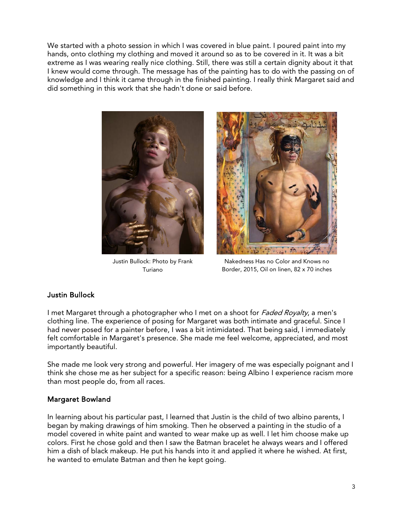We started with a photo session in which I was covered in blue paint. I poured paint into my hands, onto clothing my clothing and moved it around so as to be covered in it. It was a bit extreme as I was wearing really nice clothing. Still, there was still a certain dignity about it that I knew would come through. The message has of the painting has to do with the passing on of knowledge and I think it came through in the finished painting. I really think Margaret said and did something in this work that she hadn't done or said before.



Justin Bullock: Photo by Frank Turiano



Nakedness Has no Color and Knows no Border, 2015, Oil on linen, 82 x 70 inches

## Justin Bullock

I met Margaret through a photographer who I met on a shoot for *Faded Royalty*, a men's clothing line. The experience of posing for Margaret was both intimate and graceful. Since I had never posed for a painter before, I was a bit intimidated. That being said, I immediately felt comfortable in Margaret's presence. She made me feel welcome, appreciated, and most importantly beautiful.

She made me look very strong and powerful. Her imagery of me was especially poignant and I think she chose me as her subject for a specific reason: being Albino I experience racism more than most people do, from all races.

## Margaret Bowland

In learning about his particular past, I learned that Justin is the child of two albino parents, I began by making drawings of him smoking. Then he observed a painting in the studio of a model covered in white paint and wanted to wear make up as well. I let him choose make up colors. First he chose gold and then I saw the Batman bracelet he always wears and I offered him a dish of black makeup. He put his hands into it and applied it where he wished. At first, he wanted to emulate Batman and then he kept going.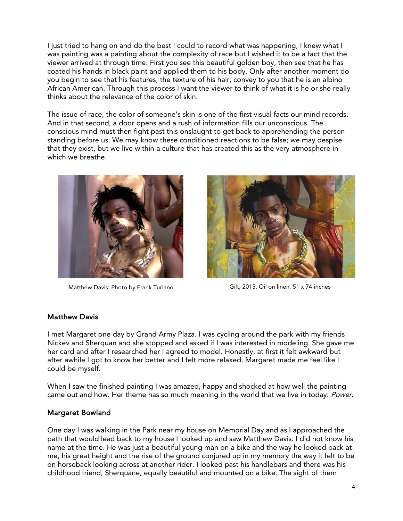I just tried to hang on and do the best I could to record what was happening, I knew what I was painting was a painting about the complexity of race but I wished it to be a fact that the viewer arrived at through time. First you see this beautiful golden boy, then see that he has coated his hands in black paint and applied them to his body. Only after another moment do you begin to see that his features, the texture of his hair, convey to you that he is an albino African American. Through this process I want the viewer to think of what it is he or she really thinks about the relevance of the color of skin.

The issue of race, the color of someone's skin is one of the first visual facts our mind records. And in that second, a door opens and a rush of information fills our unconscious. The conscious mind must then fight past this onslaught to get back to apprehending the person standing before us. We may know these conditioned reactions to be false; we may despise that they exist, but we live within a culture that has created this as the very atmosphere in which we breathe.





Matthew Davis: Photo by Frank Turiano Gilt, 2015, Oil on linen, 51 x 74 inches

### Matthew Davis

I met Margaret one day by Grand Army Plaza. I was cycling around the park with my friends Nickev and Sherquan and she stopped and asked if I was interested in modeling. She gave me her card and after I researched her I agreed to model. Honestly, at first it felt awkward but after awhile I got to know her better and I felt more relaxed. Margaret made me feel like I could be myself.

When I saw the finished painting I was amazed, happy and shocked at how well the painting came out and how. Her theme has so much meaning in the world that we live in today: Power.

### Margaret Bowland

One day I was walking in the Park near my house on Memorial Day and as I approached the path that would lead back to my house I looked up and saw Matthew Davis. I did not know his name at the time. He was just a beautiful young man on a bike and the way he looked back at me, his great height and the rise of the ground conjured up in my memory the way it felt to be on horseback looking across at another rider. I looked past his handlebars and there was his childhood friend, Sherquane, equally beautiful and mounted on a bike. The sight of them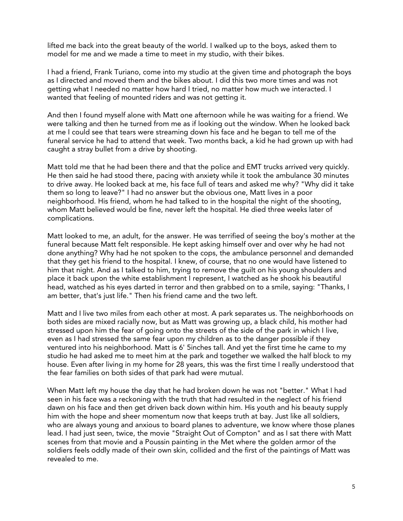lifted me back into the great beauty of the world. I walked up to the boys, asked them to model for me and we made a time to meet in my studio, with their bikes.

I had a friend, Frank Turiano, come into my studio at the given time and photograph the boys as I directed and moved them and the bikes about. I did this two more times and was not getting what I needed no matter how hard I tried, no matter how much we interacted. I wanted that feeling of mounted riders and was not getting it.

And then I found myself alone with Matt one afternoon while he was waiting for a friend. We were talking and then he turned from me as if looking out the window. When he looked back at me I could see that tears were streaming down his face and he began to tell me of the funeral service he had to attend that week. Two months back, a kid he had grown up with had caught a stray bullet from a drive by shooting.

Matt told me that he had been there and that the police and EMT trucks arrived very quickly. He then said he had stood there, pacing with anxiety while it took the ambulance 30 minutes to drive away. He looked back at me, his face full of tears and asked me why? "Why did it take them so long to leave?" I had no answer but the obvious one, Matt lives in a poor neighborhood. His friend, whom he had talked to in the hospital the night of the shooting, whom Matt believed would be fine, never left the hospital. He died three weeks later of complications.

Matt looked to me, an adult, for the answer. He was terrified of seeing the boy's mother at the funeral because Matt felt responsible. He kept asking himself over and over why he had not done anything? Why had he not spoken to the cops, the ambulance personnel and demanded that they get his friend to the hospital. I knew, of course, that no one would have listened to him that night. And as I talked to him, trying to remove the guilt on his young shoulders and place it back upon the white establishment I represent, I watched as he shook his beautiful head, watched as his eyes darted in terror and then grabbed on to a smile, saying: "Thanks, I am better, that's just life." Then his friend came and the two left.

Matt and I live two miles from each other at most. A park separates us. The neighborhoods on both sides are mixed racially now, but as Matt was growing up, a black child, his mother had stressed upon him the fear of going onto the streets of the side of the park in which I live, even as I had stressed the same fear upon my children as to the danger possible if they ventured into his neighborhood. Matt is 6' 5inches tall. And yet the first time he came to my studio he had asked me to meet him at the park and together we walked the half block to my house. Even after living in my home for 28 years, this was the first time I really understood that the fear families on both sides of that park had were mutual.

When Matt left my house the day that he had broken down he was not "better." What I had seen in his face was a reckoning with the truth that had resulted in the neglect of his friend dawn on his face and then get driven back down within him. His youth and his beauty supply him with the hope and sheer momentum now that keeps truth at bay. Just like all soldiers, who are always young and anxious to board planes to adventure, we know where those planes lead. I had just seen, twice, the movie "Straight Out of Compton" and as I sat there with Matt scenes from that movie and a Poussin painting in the Met where the golden armor of the soldiers feels oddly made of their own skin, collided and the first of the paintings of Matt was revealed to me.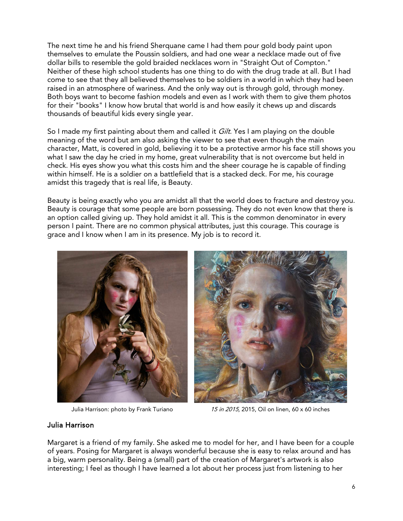The next time he and his friend Sherquane came I had them pour gold body paint upon themselves to emulate the Poussin soldiers, and had one wear a necklace made out of five dollar bills to resemble the gold braided necklaces worn in "Straight Out of Compton." Neither of these high school students has one thing to do with the drug trade at all. But I had come to see that they all believed themselves to be soldiers in a world in which they had been raised in an atmosphere of wariness. And the only way out is through gold, through money. Both boys want to become fashion models and even as I work with them to give them photos for their "books" I know how brutal that world is and how easily it chews up and discards thousands of beautiful kids every single year.

So I made my first painting about them and called it *Gilt*. Yes I am playing on the double meaning of the word but am also asking the viewer to see that even though the main character, Matt, is covered in gold, believing it to be a protective armor his face still shows you what I saw the day he cried in my home, great vulnerability that is not overcome but held in check. His eyes show you what this costs him and the sheer courage he is capable of finding within himself. He is a soldier on a battlefield that is a stacked deck. For me, his courage amidst this tragedy that is real life, is Beauty.

Beauty is being exactly who you are amidst all that the world does to fracture and destroy you. Beauty is courage that some people are born possessing. They do not even know that there is an option called giving up. They hold amidst it all. This is the common denominator in every person I paint. There are no common physical attributes, just this courage. This courage is grace and I know when I am in its presence. My job is to record it.





Julia Harrison: photo by Frank Turiano 15 in 2015, 2015, Oil on linen, 60 x 60 inches

### Julia Harrison

Margaret is a friend of my family. She asked me to model for her, and I have been for a couple of years. Posing for Margaret is always wonderful because she is easy to relax around and has a big, warm personality. Being a (small) part of the creation of Margaret's artwork is also interesting; I feel as though I have learned a lot about her process just from listening to her